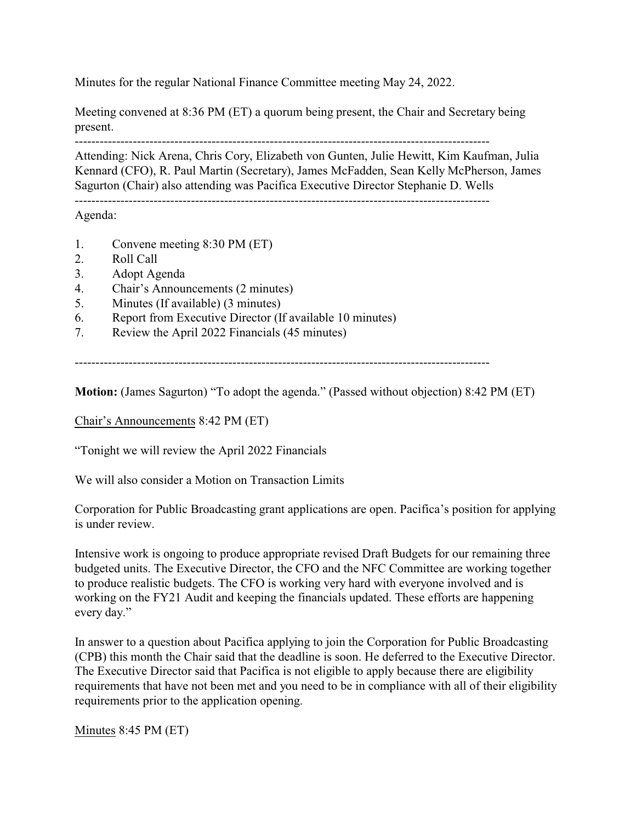Minutes for the regular National Finance Committee meeting May 24, 2022.

Meeting convened at 8:36 PM (ET) a quorum being present, the Chair and Secretary being present.

----------------------------------------------------------------------------------------------------

Attending: Nick Arena, Chris Cory, Elizabeth von Gunten, Julie Hewitt, Kim Kaufman, Julia Kennard (CFO), R. Paul Martin (Secretary), James McFadden, Sean Kelly McPherson, James Sagurton (Chair) also attending was Pacifica Executive Director Stephanie D. Wells

----------------------------------------------------------------------------------------------------

Agenda:

- 1. Convene meeting 8:30 PM (ET)
- 2. Roll Call
- 3. Adopt Agenda
- 4. Chair's Announcements (2 minutes)
- 5. Minutes (If available) (3 minutes)
- 6. Report from Executive Director (If available 10 minutes)
- 7. Review the April 2022 Financials (45 minutes)

----------------------------------------------------------------------------------------------------

**Motion:** (James Sagurton) "To adopt the agenda." (Passed without objection) 8:42 PM (ET)

Chair's Announcements 8:42 PM (ET)

"Tonight we will review the April 2022 Financials

We will also consider a Motion on Transaction Limits

Corporation for Public Broadcasting grant applications are open. Pacifica's position for applying is under review.

Intensive work is ongoing to produce appropriate revised Draft Budgets for our remaining three budgeted units. The Executive Director, the CFO and the NFC Committee are working together to produce realistic budgets. The CFO is working very hard with everyone involved and is working on the FY21 Audit and keeping the financials updated. These efforts are happening every day."

In answer to a question about Pacifica applying to join the Corporation for Public Broadcasting (CPB) this month the Chair said that the deadline is soon. He deferred to the Executive Director. The Executive Director said that Pacifica is not eligible to apply because there are eligibility requirements that have not been met and you need to be in compliance with all of their eligibility requirements prior to the application opening.

Minutes 8:45 PM (ET)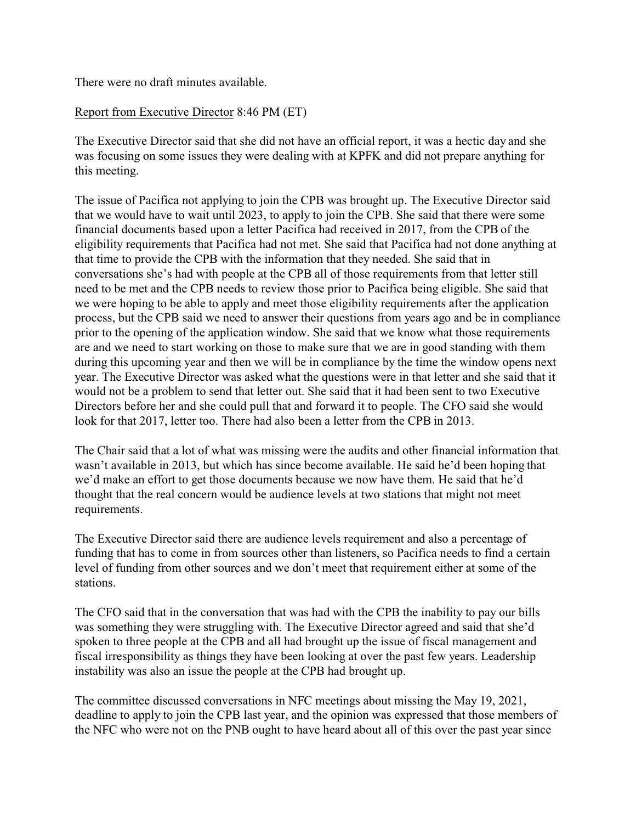There were no draft minutes available.

## Report from Executive Director 8:46 PM (ET)

The Executive Director said that she did not have an official report, it was a hectic day and she was focusing on some issues they were dealing with at KPFK and did not prepare anything for this meeting.

The issue of Pacifica not applying to join the CPB was brought up. The Executive Director said that we would have to wait until 2023, to apply to join the CPB. She said that there were some financial documents based upon a letter Pacifica had received in 2017, from the CPB of the eligibility requirements that Pacifica had not met. She said that Pacifica had not done anything at that time to provide the CPB with the information that they needed. She said that in conversations she's had with people at the CPB all of those requirements from that letter still need to be met and the CPB needs to review those prior to Pacifica being eligible. She said that we were hoping to be able to apply and meet those eligibility requirements after the application process, but the CPB said we need to answer their questions from years ago and be in compliance prior to the opening of the application window. She said that we know what those requirements are and we need to start working on those to make sure that we are in good standing with them during this upcoming year and then we will be in compliance by the time the window opens next year. The Executive Director was asked what the questions were in that letter and she said that it would not be a problem to send that letter out. She said that it had been sent to two Executive Directors before her and she could pull that and forward it to people. The CFO said she would look for that 2017, letter too. There had also been a letter from the CPB in 2013.

The Chair said that a lot of what was missing were the audits and other financial information that wasn't available in 2013, but which has since become available. He said he'd been hoping that we'd make an effort to get those documents because we now have them. He said that he'd thought that the real concern would be audience levels at two stations that might not meet requirements.

The Executive Director said there are audience levels requirement and also a percentage of funding that has to come in from sources other than listeners, so Pacifica needs to find a certain level of funding from other sources and we don't meet that requirement either at some of the stations.

The CFO said that in the conversation that was had with the CPB the inability to pay our bills was something they were struggling with. The Executive Director agreed and said that she'd spoken to three people at the CPB and all had brought up the issue of fiscal management and fiscal irresponsibility as things they have been looking at over the past few years. Leadership instability was also an issue the people at the CPB had brought up.

The committee discussed conversations in NFC meetings about missing the May 19, 2021, deadline to apply to join the CPB last year, and the opinion was expressed that those members of the NFC who were not on the PNB ought to have heard about all of this over the past year since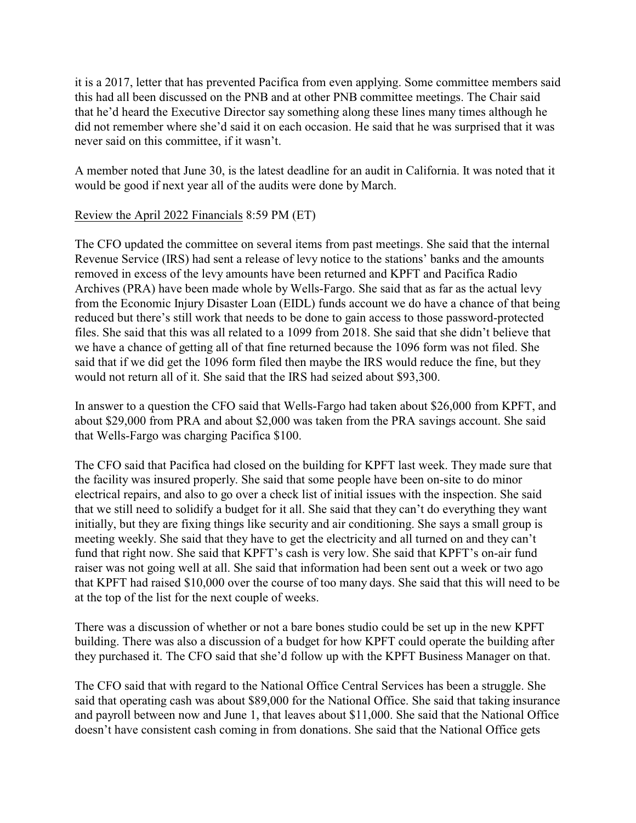it is a 2017, letter that has prevented Pacifica from even applying. Some committee members said this had all been discussed on the PNB and at other PNB committee meetings. The Chair said that he'd heard the Executive Director say something along these lines many times although he did not remember where she'd said it on each occasion. He said that he was surprised that it was never said on this committee, if it wasn't.

A member noted that June 30, is the latest deadline for an audit in California. It was noted that it would be good if next year all of the audits were done by March.

## Review the April 2022 Financials 8:59 PM (ET)

The CFO updated the committee on several items from past meetings. She said that the internal Revenue Service (IRS) had sent a release of levy notice to the stations' banks and the amounts removed in excess of the levy amounts have been returned and KPFT and Pacifica Radio Archives (PRA) have been made whole by Wells-Fargo. She said that as far as the actual levy from the Economic Injury Disaster Loan (EIDL) funds account we do have a chance of that being reduced but there's still work that needs to be done to gain access to those password-protected files. She said that this was all related to a 1099 from 2018. She said that she didn't believe that we have a chance of getting all of that fine returned because the 1096 form was not filed. She said that if we did get the 1096 form filed then maybe the IRS would reduce the fine, but they would not return all of it. She said that the IRS had seized about \$93,300.

In answer to a question the CFO said that Wells-Fargo had taken about \$26,000 from KPFT, and about \$29,000 from PRA and about \$2,000 was taken from the PRA savings account. She said that Wells-Fargo was charging Pacifica \$100.

The CFO said that Pacifica had closed on the building for KPFT last week. They made sure that the facility was insured properly. She said that some people have been on-site to do minor electrical repairs, and also to go over a check list of initial issues with the inspection. She said that we still need to solidify a budget for it all. She said that they can't do everything they want initially, but they are fixing things like security and air conditioning. She says a small group is meeting weekly. She said that they have to get the electricity and all turned on and they can't fund that right now. She said that KPFT's cash is very low. She said that KPFT's on-air fund raiser was not going well at all. She said that information had been sent out a week or two ago that KPFT had raised \$10,000 over the course of too many days. She said that this will need to be at the top of the list for the next couple of weeks.

There was a discussion of whether or not a bare bones studio could be set up in the new KPFT building. There was also a discussion of a budget for how KPFT could operate the building after they purchased it. The CFO said that she'd follow up with the KPFT Business Manager on that.

The CFO said that with regard to the National Office Central Services has been a struggle. She said that operating cash was about \$89,000 for the National Office. She said that taking insurance and payroll between now and June 1, that leaves about \$11,000. She said that the National Office doesn't have consistent cash coming in from donations. She said that the National Office gets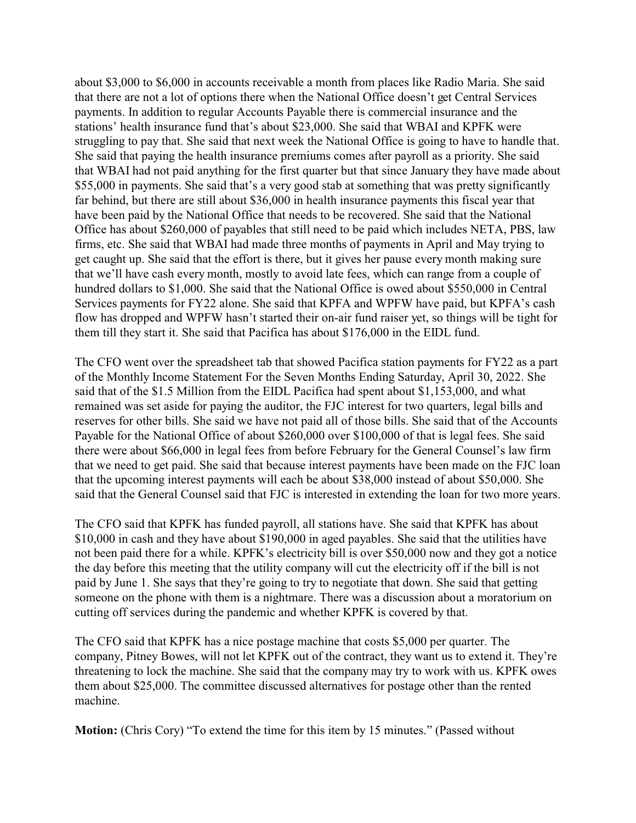about \$3,000 to \$6,000 in accounts receivable a month from places like Radio Maria. She said that there are not a lot of options there when the National Office doesn't get Central Services payments. In addition to regular Accounts Payable there is commercial insurance and the stations' health insurance fund that's about \$23,000. She said that WBAI and KPFK were struggling to pay that. She said that next week the National Office is going to have to handle that. She said that paying the health insurance premiums comes after payroll as a priority. She said that WBAI had not paid anything for the first quarter but that since January they have made about \$55,000 in payments. She said that's a very good stab at something that was pretty significantly far behind, but there are still about \$36,000 in health insurance payments this fiscal year that have been paid by the National Office that needs to be recovered. She said that the National Office has about \$260,000 of payables that still need to be paid which includes NETA, PBS, law firms, etc. She said that WBAI had made three months of payments in April and May trying to get caught up. She said that the effort is there, but it gives her pause every month making sure that we'll have cash every month, mostly to avoid late fees, which can range from a couple of hundred dollars to \$1,000. She said that the National Office is owed about \$550,000 in Central Services payments for FY22 alone. She said that KPFA and WPFW have paid, but KPFA's cash flow has dropped and WPFW hasn't started their on-air fund raiser yet, so things will be tight for them till they start it. She said that Pacifica has about \$176,000 in the EIDL fund.

The CFO went over the spreadsheet tab that showed Pacifica station payments for FY22 as a part of the Monthly Income Statement For the Seven Months Ending Saturday, April 30, 2022. She said that of the \$1.5 Million from the EIDL Pacifica had spent about \$1,153,000, and what remained was set aside for paying the auditor, the FJC interest for two quarters, legal bills and reserves for other bills. She said we have not paid all of those bills. She said that of the Accounts Payable for the National Office of about \$260,000 over \$100,000 of that is legal fees. She said there were about \$66,000 in legal fees from before February for the General Counsel's law firm that we need to get paid. She said that because interest payments have been made on the FJC loan that the upcoming interest payments will each be about \$38,000 instead of about \$50,000. She said that the General Counsel said that FJC is interested in extending the loan for two more years.

The CFO said that KPFK has funded payroll, all stations have. She said that KPFK has about \$10,000 in cash and they have about \$190,000 in aged payables. She said that the utilities have not been paid there for a while. KPFK's electricity bill is over \$50,000 now and they got a notice the day before this meeting that the utility company will cut the electricity off if the bill is not paid by June 1. She says that they're going to try to negotiate that down. She said that getting someone on the phone with them is a nightmare. There was a discussion about a moratorium on cutting off services during the pandemic and whether KPFK is covered by that.

The CFO said that KPFK has a nice postage machine that costs \$5,000 per quarter. The company, Pitney Bowes, will not let KPFK out of the contract, they want us to extend it. They're threatening to lock the machine. She said that the company may try to work with us. KPFK owes them about \$25,000. The committee discussed alternatives for postage other than the rented machine.

**Motion:** (Chris Cory) "To extend the time for this item by 15 minutes." (Passed without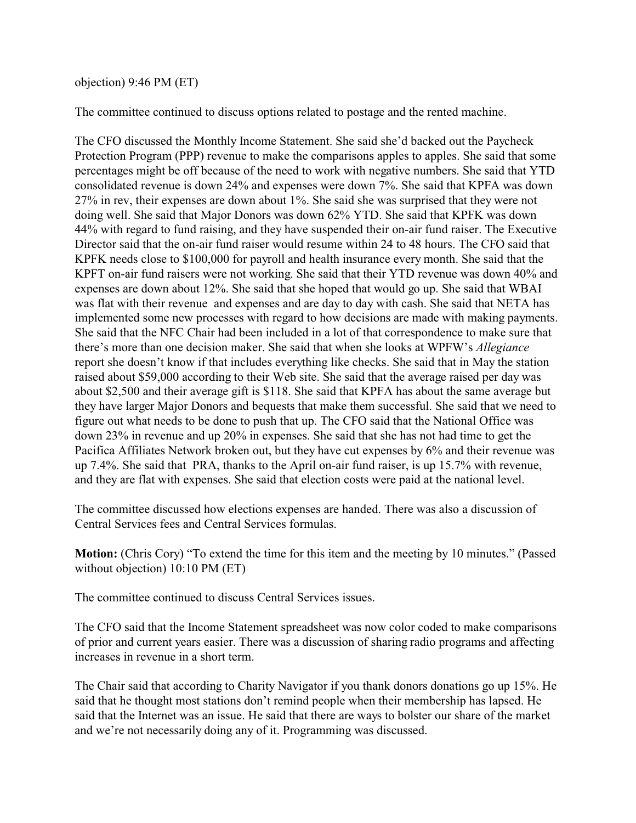## objection) 9:46 PM (ET)

The committee continued to discuss options related to postage and the rented machine.

The CFO discussed the Monthly Income Statement. She said she'd backed out the Paycheck Protection Program (PPP) revenue to make the comparisons apples to apples. She said that some percentages might be off because of the need to work with negative numbers. She said that YTD consolidated revenue is down 24% and expenses were down 7%. She said that KPFA was down 27% in rev, their expenses are down about 1%. She said she was surprised that they were not doing well. She said that Major Donors was down 62% YTD. She said that KPFK was down 44% with regard to fund raising, and they have suspended their on-air fund raiser. The Executive Director said that the on-air fund raiser would resume within 24 to 48 hours. The CFO said that KPFK needs close to \$100,000 for payroll and health insurance every month. She said that the KPFT on-air fund raisers were not working. She said that their YTD revenue was down 40% and expenses are down about 12%. She said that she hoped that would go up. She said that WBAI was flat with their revenue and expenses and are day to day with cash. She said that NETA has implemented some new processes with regard to how decisions are made with making payments. She said that the NFC Chair had been included in a lot of that correspondence to make sure that there's more than one decision maker. She said that when she looks at WPFW's *Allegiance* report she doesn't know if that includes everything like checks. She said that in May the station raised about \$59,000 according to their Web site. She said that the average raised per day was about \$2,500 and their average gift is \$118. She said that KPFA has about the same average but they have larger Major Donors and bequests that make them successful. She said that we need to figure out what needs to be done to push that up. The CFO said that the National Office was down 23% in revenue and up 20% in expenses. She said that she has not had time to get the Pacifica Affiliates Network broken out, but they have cut expenses by 6% and their revenue was up 7.4%. She said that PRA, thanks to the April on-air fund raiser, is up 15.7% with revenue, and they are flat with expenses. She said that election costs were paid at the national level.

The committee discussed how elections expenses are handed. There was also a discussion of Central Services fees and Central Services formulas.

**Motion:** (Chris Cory) "To extend the time for this item and the meeting by 10 minutes." (Passed without objection) 10:10 PM (ET)

The committee continued to discuss Central Services issues.

The CFO said that the Income Statement spreadsheet was now color coded to make comparisons of prior and current years easier. There was a discussion of sharing radio programs and affecting increases in revenue in a short term.

The Chair said that according to Charity Navigator if you thank donors donations go up 15%. He said that he thought most stations don't remind people when their membership has lapsed. He said that the Internet was an issue. He said that there are ways to bolster our share of the market and we're not necessarily doing any of it. Programming was discussed.